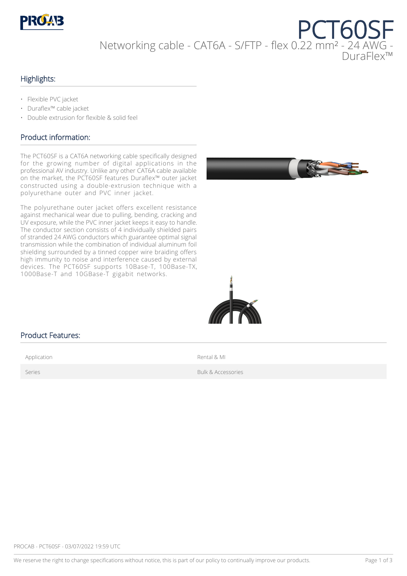

# PCT60SF Networking cable - CAT6A - S/FTP - flex 0.22 mm² - 24 AWG - DuraFlex™

#### Highlights:

- Flexible PVC jacket
- Duraflex™ cable jacket
- Double extrusion for flexible & solid feel

#### Product information:

The PCT60SF is a CAT6A networking cable specifically designed for the growing number of digital applications in the professional AV industry. Unlike any other CAT6A cable available on the market, the PCT60SF features Duraflex™ outer jacket constructed using a double-extrusion technique with a polyurethane outer and PVC inner jacket.

The polyurethane outer jacket offers excellent resistance against mechanical wear due to pulling, bending, cracking and UV exposure, while the PVC inner jacket keeps it easy to handle. The conductor section consists of 4 individually shielded pairs of stranded 24 AWG conductors which guarantee optimal signal transmission while the combination of individual aluminum foil shielding surrounded by a tinned copper wire braiding offers high immunity to noise and interference caused by external devices. The PCT60SF supports 10Base-T, 100Base-TX, 1000Base-T and 10GBase-T gigabit networks.





#### Product Features:

Application **Application Rental & MI** 

Series **Bulk & Accessories**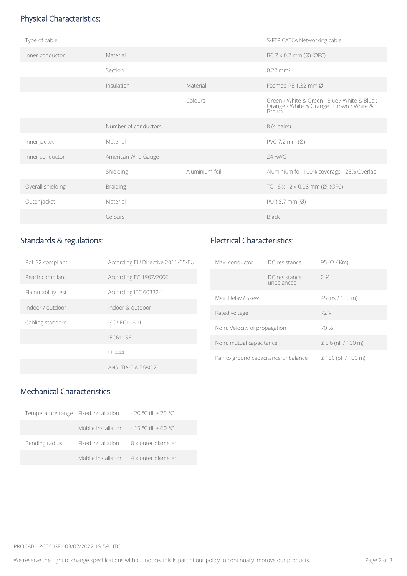## Physical Characteristics:

| Type of cable     |                      |                | S/FTP CAT6A Networking cable                                                                               |
|-------------------|----------------------|----------------|------------------------------------------------------------------------------------------------------------|
| Inner conductor   | Material             |                | BC $7 \times 0.2$ mm (Ø) (OFC)                                                                             |
|                   | Section              |                | $0.22 \text{ mm}^2$                                                                                        |
|                   | Insulation           | Material       | Foamed PF 1.32 mm $\varnothing$                                                                            |
|                   |                      | Colours        | Green / White & Green ; Blue / White & Blue ;<br>Orange / White & Orange ; Brown / White &<br><b>Brown</b> |
|                   | Number of conductors |                | 8 (4 pairs)                                                                                                |
| Inner jacket      | Material             |                | $PVC$ 7.2 mm $(\emptyset)$                                                                                 |
| Inner conductor   | American Wire Gauge  |                | 24 AWG                                                                                                     |
|                   | Shielding            | Aluminium foil | Aluminium foil 100% coverage - 25% Overlap                                                                 |
| Overall shielding | <b>Braiding</b>      |                | TC $16 \times 12 \times 0.08$ mm (Ø) (OFC)                                                                 |
| Outer jacket      | Material             |                | PUR 8.7 mm (Ø)                                                                                             |
|                   | Colours              |                | Black                                                                                                      |

# Standards & regulations:

| RoHS2 compliant   | According EU Directive 2011/65/EU |
|-------------------|-----------------------------------|
| Reach compliant   | According EC 1907/2006            |
| Flammability test | According IEC 60332-1             |
| Indoor / outdoor  | Indoor & outdoor                  |
| Cabling standard  | ISO/IFC11801                      |
|                   | IFC61156                          |
|                   | UI 444                            |
|                   | <b>ANSI TIA-FIA 568C.2</b>        |

## Electrical Characteristics:

| Max conductor                        | DC resistance               | $95$ ( $\Omega$ / Km)   |
|--------------------------------------|-----------------------------|-------------------------|
|                                      | DC resistance<br>unbalanced | 2%                      |
| Max. Delay / Skew                    |                             | 45 (ns / 100 m)         |
| Rated voltage                        |                             | 72 V                    |
| Nom. Velocity of propagation         |                             | 70 %                    |
| Nom. mutual capacitance              |                             | $\leq 5.6$ (nF / 100 m) |
| Pair to ground capacitance unbalance |                             | $\leq 160$ (pF / 100 m) |

# Mechanical Characteristics:

| Temperature range Fixed installation |                                                           | $-20$ °C till + 75 °C |
|--------------------------------------|-----------------------------------------------------------|-----------------------|
|                                      | Mobile installation $-15 \degree$ C till + 60 $\degree$ C |                       |
| Bending radius                       | Fixed installation                                        | 8 x outer diameter    |
|                                      | Mobile installation                                       | 4 x outer diameter    |